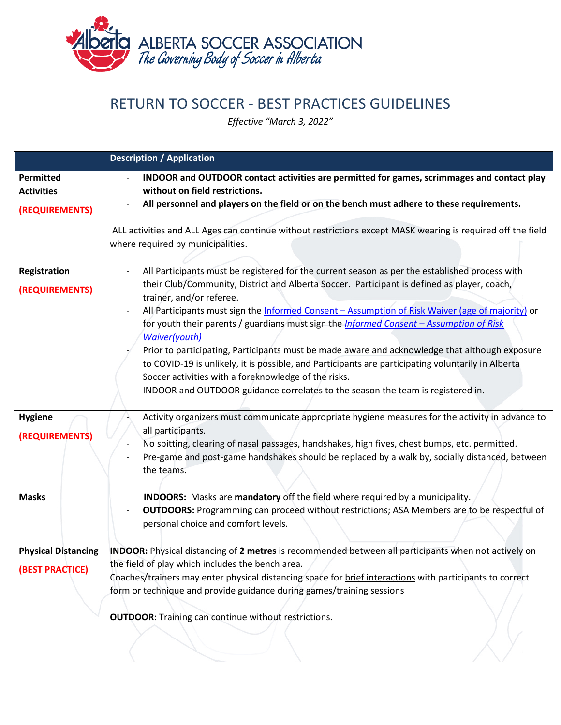

## RETURN TO SOCCER - BEST PRACTICES GUIDELINES

*Effective "March 3, 2022"*

|                                                         | <b>Description / Application</b>                                                                                                                                                                                                                                                                                                                                                                             |
|---------------------------------------------------------|--------------------------------------------------------------------------------------------------------------------------------------------------------------------------------------------------------------------------------------------------------------------------------------------------------------------------------------------------------------------------------------------------------------|
| <b>Permitted</b><br><b>Activities</b><br>(REQUIREMENTS) | INDOOR and OUTDOOR contact activities are permitted for games, scrimmages and contact play<br>without on field restrictions.<br>All personnel and players on the field or on the bench must adhere to these requirements.                                                                                                                                                                                    |
|                                                         | ALL activities and ALL Ages can continue without restrictions except MASK wearing is required off the field<br>where required by municipalities.                                                                                                                                                                                                                                                             |
| Registration                                            | All Participants must be registered for the current season as per the established process with                                                                                                                                                                                                                                                                                                               |
| (REQUIREMENTS)                                          | their Club/Community, District and Alberta Soccer. Participant is defined as player, coach,<br>trainer, and/or referee.                                                                                                                                                                                                                                                                                      |
|                                                         | All Participants must sign the Informed Consent - Assumption of Risk Waiver (age of majority) or<br>for youth their parents / guardians must sign the <i>Informed Consent - Assumption of Risk</i><br>Waiver(youth)<br>Prior to participating, Participants must be made aware and acknowledge that although exposure                                                                                        |
|                                                         | to COVID-19 is unlikely, it is possible, and Participants are participating voluntarily in Alberta<br>Soccer activities with a foreknowledge of the risks.<br>INDOOR and OUTDOOR guidance correlates to the season the team is registered in.                                                                                                                                                                |
| <b>Hygiene</b><br>(REQUIREMENTS)                        | Activity organizers must communicate appropriate hygiene measures for the activity in advance to<br>all participants.<br>No spitting, clearing of nasal passages, handshakes, high fives, chest bumps, etc. permitted.<br>Pre-game and post-game handshakes should be replaced by a walk by, socially distanced, between<br>the teams.                                                                       |
| <b>Masks</b>                                            | INDOORS: Masks are mandatory off the field where required by a municipality.<br><b>OUTDOORS:</b> Programming can proceed without restrictions; ASA Members are to be respectful of<br>personal choice and comfort levels.                                                                                                                                                                                    |
| <b>Physical Distancing</b><br><b>(BEST PRACTICE)</b>    | INDOOR: Physical distancing of 2 metres is recommended between all participants when not actively on<br>the field of play which includes the bench area.<br>Coaches/trainers may enter physical distancing space for brief interactions with participants to correct<br>form or technique and provide guidance during games/training sessions<br><b>OUTDOOR:</b> Training can continue without restrictions. |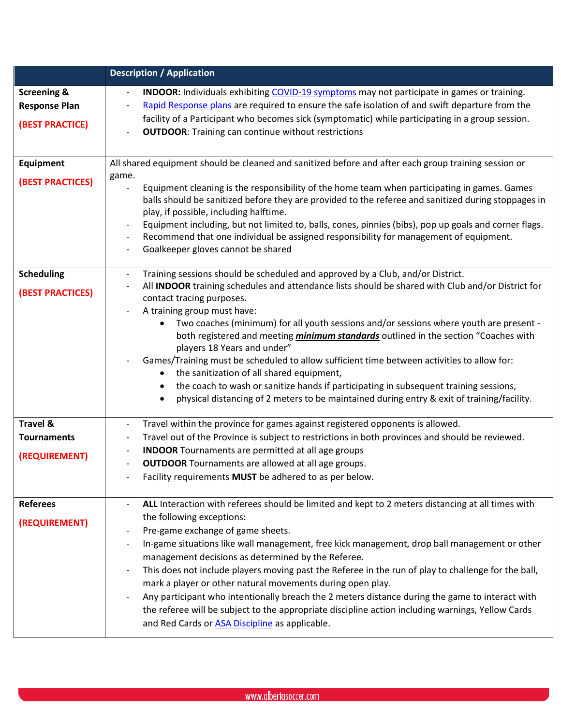|                                                                   | <b>Description / Application</b>                                                                                                                                                                                                                                                                                                                                                                                                                                                                                                                                                                                                                                                                                                                                                                                                                                                         |
|-------------------------------------------------------------------|------------------------------------------------------------------------------------------------------------------------------------------------------------------------------------------------------------------------------------------------------------------------------------------------------------------------------------------------------------------------------------------------------------------------------------------------------------------------------------------------------------------------------------------------------------------------------------------------------------------------------------------------------------------------------------------------------------------------------------------------------------------------------------------------------------------------------------------------------------------------------------------|
| <b>Screening &amp;</b><br><b>Response Plan</b><br>(BEST PRACTICE) | <b>INDOOR:</b> Individuals exhibiting COVID-19 symptoms may not participate in games or training.<br>Rapid Response plans are required to ensure the safe isolation of and swift departure from the<br>$\overline{\phantom{a}}$<br>facility of a Participant who becomes sick (symptomatic) while participating in a group session.<br><b>OUTDOOR:</b> Training can continue without restrictions                                                                                                                                                                                                                                                                                                                                                                                                                                                                                        |
| <b>Equipment</b><br><b>(BEST PRACTICES)</b>                       | All shared equipment should be cleaned and sanitized before and after each group training session or<br>game.<br>Equipment cleaning is the responsibility of the home team when participating in games. Games<br>balls should be sanitized before they are provided to the referee and sanitized during stoppages in<br>play, if possible, including halftime.<br>Equipment including, but not limited to, balls, cones, pinnies (bibs), pop up goals and corner flags.<br>$\overline{\phantom{a}}$<br>Recommend that one individual be assigned responsibility for management of equipment.<br>$\overline{\phantom{a}}$<br>Goalkeeper gloves cannot be shared                                                                                                                                                                                                                           |
| <b>Scheduling</b><br><b>(BEST PRACTICES)</b>                      | Training sessions should be scheduled and approved by a Club, and/or District.<br>$\overline{\phantom{a}}$<br>All INDOOR training schedules and attendance lists should be shared with Club and/or District for<br>contact tracing purposes.<br>A training group must have:<br>Two coaches (minimum) for all youth sessions and/or sessions where youth are present -<br>$\bullet$<br>both registered and meeting <i>minimum standards</i> outlined in the section "Coaches with<br>players 18 Years and under"<br>Games/Training must be scheduled to allow sufficient time between activities to allow for:<br>the sanitization of all shared equipment,<br>$\bullet$<br>the coach to wash or sanitize hands if participating in subsequent training sessions,<br>$\bullet$<br>physical distancing of 2 meters to be maintained during entry & exit of training/facility.<br>$\bullet$ |
| <b>Travel &amp;</b><br><b>Tournaments</b><br>(REQUIREMENT)        | Travel within the province for games against registered opponents is allowed.<br>$\overline{\phantom{a}}$<br>Travel out of the Province is subject to restrictions in both provinces and should be reviewed.<br>$\overline{\phantom{a}}$<br><b>INDOOR</b> Tournaments are permitted at all age groups<br>$\overline{\phantom{a}}$<br><b>OUTDOOR</b> Tournaments are allowed at all age groups.<br>Facility requirements MUST be adhered to as per below.                                                                                                                                                                                                                                                                                                                                                                                                                                 |
| <b>Referees</b><br>(REQUIREMENT)                                  | ALL Interaction with referees should be limited and kept to 2 meters distancing at all times with<br>the following exceptions:<br>Pre-game exchange of game sheets.<br>In-game situations like wall management, free kick management, drop ball management or other<br>management decisions as determined by the Referee.<br>This does not include players moving past the Referee in the run of play to challenge for the ball,<br>mark a player or other natural movements during open play.<br>Any participant who intentionally breach the 2 meters distance during the game to interact with<br>the referee will be subject to the appropriate discipline action including warnings, Yellow Cards<br>and Red Cards or <b>ASA Discipline</b> as applicable.                                                                                                                          |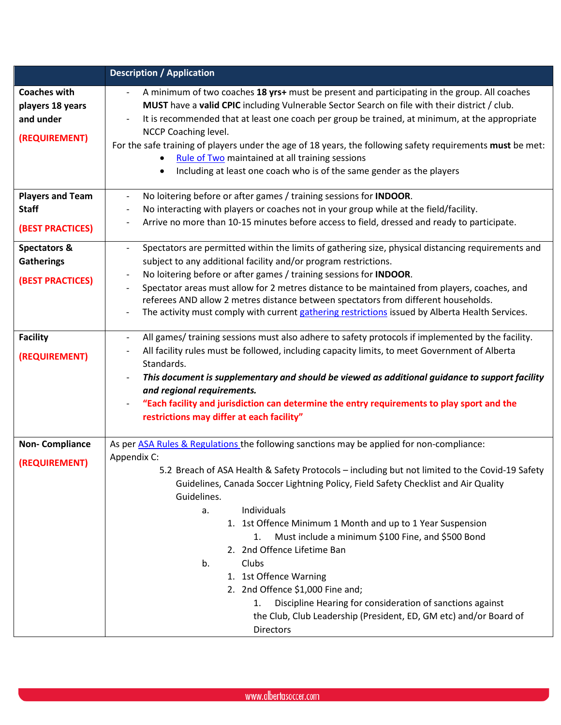|                                                                         | <b>Description / Application</b>                                                                                                                                                                                                                                                                                                                                                                                                                                                                                                                                                                                                                                                                                                      |
|-------------------------------------------------------------------------|---------------------------------------------------------------------------------------------------------------------------------------------------------------------------------------------------------------------------------------------------------------------------------------------------------------------------------------------------------------------------------------------------------------------------------------------------------------------------------------------------------------------------------------------------------------------------------------------------------------------------------------------------------------------------------------------------------------------------------------|
| <b>Coaches with</b><br>players 18 years<br>and under<br>(REQUIREMENT)   | A minimum of two coaches 18 yrs+ must be present and participating in the group. All coaches<br>MUST have a valid CPIC including Vulnerable Sector Search on file with their district / club.<br>It is recommended that at least one coach per group be trained, at minimum, at the appropriate<br>NCCP Coaching level.<br>For the safe training of players under the age of 18 years, the following safety requirements must be met:<br>Rule of Two maintained at all training sessions<br>Including at least one coach who is of the same gender as the players<br>$\bullet$                                                                                                                                                        |
| <b>Players and Team</b><br><b>Staff</b><br><b>(BEST PRACTICES)</b>      | No loitering before or after games / training sessions for INDOOR.<br>No interacting with players or coaches not in your group while at the field/facility.<br>$\overline{\phantom{a}}$<br>Arrive no more than 10-15 minutes before access to field, dressed and ready to participate.                                                                                                                                                                                                                                                                                                                                                                                                                                                |
| <b>Spectators &amp;</b><br><b>Gatherings</b><br><b>(BEST PRACTICES)</b> | Spectators are permitted within the limits of gathering size, physical distancing requirements and<br>$\overline{\phantom{a}}$<br>subject to any additional facility and/or program restrictions.<br>No loitering before or after games / training sessions for INDOOR.<br>Spectator areas must allow for 2 metres distance to be maintained from players, coaches, and<br>referees AND allow 2 metres distance between spectators from different households.<br>The activity must comply with current gathering restrictions issued by Alberta Health Services.                                                                                                                                                                      |
| <b>Facility</b><br>(REQUIREMENT)                                        | All games/ training sessions must also adhere to safety protocols if implemented by the facility.<br>$\overline{\phantom{a}}$<br>All facility rules must be followed, including capacity limits, to meet Government of Alberta<br>Standards.<br>This document is supplementary and should be viewed as additional guidance to support facility<br>and regional requirements.<br>"Each facility and jurisdiction can determine the entry requirements to play sport and the<br>restrictions may differ at each facility"                                                                                                                                                                                                               |
| <b>Non-Compliance</b><br>(REQUIREMENT)                                  | As per ASA Rules & Regulations the following sanctions may be applied for non-compliance:<br>Appendix C:<br>5.2 Breach of ASA Health & Safety Protocols - including but not limited to the Covid-19 Safety<br>Guidelines, Canada Soccer Lightning Policy, Field Safety Checklist and Air Quality<br>Guidelines.<br>Individuals<br>a.<br>1. 1st Offence Minimum 1 Month and up to 1 Year Suspension<br>Must include a minimum \$100 Fine, and \$500 Bond<br>1.<br>2. 2nd Offence Lifetime Ban<br>b.<br>Clubs<br>1. 1st Offence Warning<br>2. 2nd Offence \$1,000 Fine and;<br>Discipline Hearing for consideration of sanctions against<br>1.<br>the Club, Club Leadership (President, ED, GM etc) and/or Board of<br><b>Directors</b> |